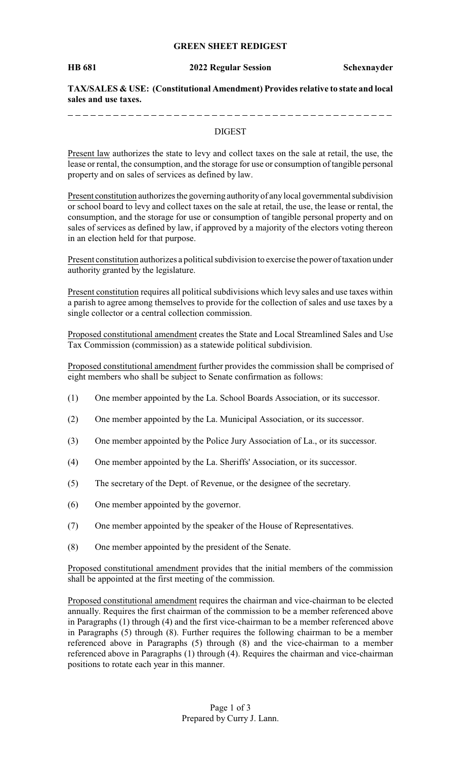## **GREEN SHEET REDIGEST**

#### **HB 681 2022 Regular Session Schexnayder**

**TAX/SALES & USE: (Constitutional Amendment) Provides relative to state and local sales and use taxes.**

#### DIGEST

Present law authorizes the state to levy and collect taxes on the sale at retail, the use, the lease or rental, the consumption, and the storage for use or consumption of tangible personal property and on sales of services as defined by law.

Present constitution authorizes the governing authority of any local governmental subdivision or school board to levy and collect taxes on the sale at retail, the use, the lease or rental, the consumption, and the storage for use or consumption of tangible personal property and on sales of services as defined by law, if approved by a majority of the electors voting thereon in an election held for that purpose.

Present constitution authorizes a political subdivision to exercise the power of taxation under authority granted by the legislature.

Present constitution requires all political subdivisions which levy sales and use taxes within a parish to agree among themselves to provide for the collection of sales and use taxes by a single collector or a central collection commission.

Proposed constitutional amendment creates the State and Local Streamlined Sales and Use Tax Commission (commission) as a statewide political subdivision.

Proposed constitutional amendment further provides the commission shall be comprised of eight members who shall be subject to Senate confirmation as follows:

- (1) One member appointed by the La. School Boards Association, or its successor.
- (2) One member appointed by the La. Municipal Association, or its successor.
- (3) One member appointed by the Police Jury Association of La., or its successor.
- (4) One member appointed by the La. Sheriffs' Association, or its successor.
- (5) The secretary of the Dept. of Revenue, or the designee of the secretary.
- (6) One member appointed by the governor.
- (7) One member appointed by the speaker of the House of Representatives.
- (8) One member appointed by the president of the Senate.

Proposed constitutional amendment provides that the initial members of the commission shall be appointed at the first meeting of the commission.

Proposed constitutional amendment requires the chairman and vice-chairman to be elected annually. Requires the first chairman of the commission to be a member referenced above in Paragraphs (1) through (4) and the first vice-chairman to be a member referenced above in Paragraphs (5) through (8). Further requires the following chairman to be a member referenced above in Paragraphs (5) through (8) and the vice-chairman to a member referenced above in Paragraphs (1) through (4). Requires the chairman and vice-chairman positions to rotate each year in this manner.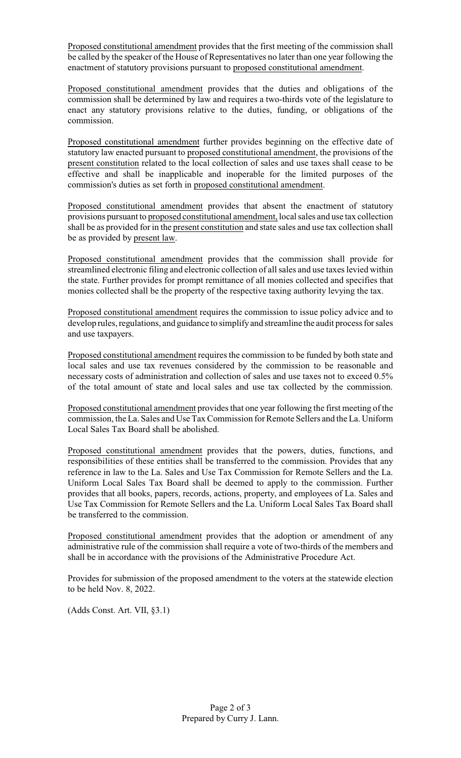Proposed constitutional amendment provides that the first meeting of the commission shall be called by the speaker of the House of Representatives no later than one year following the enactment of statutory provisions pursuant to proposed constitutional amendment.

Proposed constitutional amendment provides that the duties and obligations of the commission shall be determined by law and requires a two-thirds vote of the legislature to enact any statutory provisions relative to the duties, funding, or obligations of the commission.

Proposed constitutional amendment further provides beginning on the effective date of statutory law enacted pursuant to proposed constitutional amendment, the provisions of the present constitution related to the local collection of sales and use taxes shall cease to be effective and shall be inapplicable and inoperable for the limited purposes of the commission's duties as set forth in proposed constitutional amendment.

Proposed constitutional amendment provides that absent the enactment of statutory provisions pursuant to proposed constitutional amendment, local sales and use tax collection shall be as provided for in the present constitution and state sales and use tax collection shall be as provided by present law.

Proposed constitutional amendment provides that the commission shall provide for streamlined electronic filing and electronic collection of all sales and use taxes levied within the state. Further provides for prompt remittance of all monies collected and specifies that monies collected shall be the property of the respective taxing authority levying the tax.

Proposed constitutional amendment requires the commission to issue policy advice and to develop rules, regulations, and guidance to simplify and streamline the audit process for sales and use taxpayers.

Proposed constitutional amendment requires the commission to be funded by both state and local sales and use tax revenues considered by the commission to be reasonable and necessary costs of administration and collection of sales and use taxes not to exceed 0.5% of the total amount of state and local sales and use tax collected by the commission.

Proposed constitutional amendment provides that one year following the first meeting of the commission, the La. Sales and Use TaxCommission for Remote Sellers and the La. Uniform Local Sales Tax Board shall be abolished.

Proposed constitutional amendment provides that the powers, duties, functions, and responsibilities of these entities shall be transferred to the commission. Provides that any reference in law to the La. Sales and Use Tax Commission for Remote Sellers and the La. Uniform Local Sales Tax Board shall be deemed to apply to the commission. Further provides that all books, papers, records, actions, property, and employees of La. Sales and Use Tax Commission for Remote Sellers and the La. Uniform Local Sales Tax Board shall be transferred to the commission.

Proposed constitutional amendment provides that the adoption or amendment of any administrative rule of the commission shall require a vote of two-thirds of the members and shall be in accordance with the provisions of the Administrative Procedure Act.

Provides for submission of the proposed amendment to the voters at the statewide election to be held Nov. 8, 2022.

(Adds Const. Art. VII, §3.1)